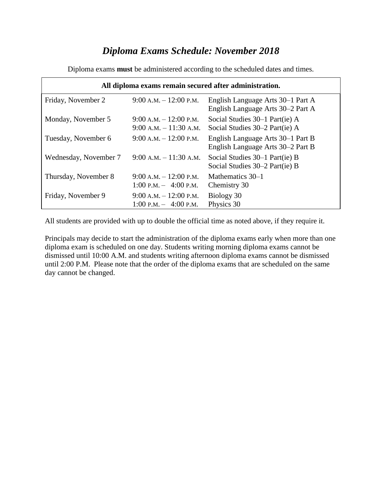# *Diploma Exams Schedule: November 2018*

| All diploma exams remain secured after administration. |                                                      |                                                                        |  |  |
|--------------------------------------------------------|------------------------------------------------------|------------------------------------------------------------------------|--|--|
| Friday, November 2                                     | $9:00 A.M. - 12:00 P.M.$                             | English Language Arts 30–1 Part A<br>English Language Arts 30–2 Part A |  |  |
| Monday, November 5                                     | $9:00 A.M. - 12:00 P.M.$<br>$9:00 A.M. - 11:30 A.M.$ | Social Studies 30–1 Part(ie) A<br>Social Studies 30–2 Part(ie) A       |  |  |
| Tuesday, November 6                                    | $9:00 A.M. - 12:00 P.M.$                             | English Language Arts 30–1 Part B<br>English Language Arts 30–2 Part B |  |  |
| Wednesday, November 7                                  | $9:00$ A.M. $-11:30$ A.M.                            | Social Studies 30–1 Part(ie) B<br>Social Studies 30–2 Part(ie) B       |  |  |
| Thursday, November 8                                   | $9:00 A.M. - 12:00 P.M.$<br>1:00 P.M. $-$ 4:00 P.M.  | Mathematics 30–1<br>Chemistry 30                                       |  |  |
| Friday, November 9                                     | $9:00 A.M. - 12:00 P.M.$<br>1:00 P.M. $-$ 4:00 P.M.  | Biology 30<br>Physics 30                                               |  |  |

Diploma exams **must** be administered according to the scheduled dates and times.

All students are provided with up to double the official time as noted above, if they require it.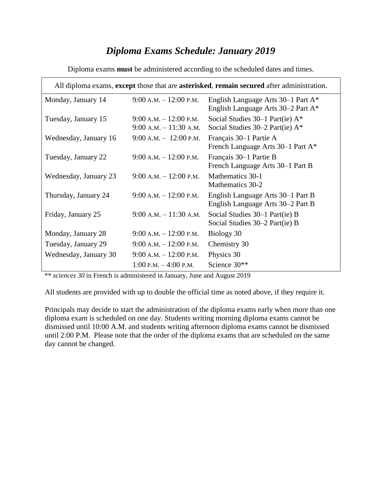### *Diploma Exams Schedule: January 2019*

| All diploma exams, except those that are asterisked, remain secured after administration. |                                                        |                                                                           |  |
|-------------------------------------------------------------------------------------------|--------------------------------------------------------|---------------------------------------------------------------------------|--|
| Monday, January 14                                                                        | $9:00$ A.M. $-12:00$ P.M.                              | English Language Arts 30–1 Part A*<br>English Language Arts 30–2 Part A*  |  |
| Tuesday, January 15                                                                       | $9:00$ A.M. $-12:00$ P.M.<br>$9:00$ A.M. $-11:30$ A.M. | Social Studies $30-1$ Part(ie) A*<br>Social Studies $30-2$ Part(ie) $A^*$ |  |
| Wednesday, January 16                                                                     | $9:00$ A.M. $-12:00$ P.M.                              | Français 30–1 Partie A<br>French Language Arts 30–1 Part A*               |  |
| Tuesday, January 22                                                                       | $9:00 A.M. - 12:00 P.M.$                               | Français 30–1 Partie B<br>French Language Arts 30–1 Part B                |  |
| Wednesday, January 23                                                                     | $9:00$ A.M. $-12:00$ P.M.                              | Mathematics 30-1<br>Mathematics 30-2                                      |  |
| Thursday, January 24                                                                      | $9:00$ A.M. $-12:00$ P.M.                              | English Language Arts 30–1 Part B<br>English Language Arts 30–2 Part B    |  |
| Friday, January 25                                                                        | $9:00$ A.M. $-11:30$ A.M.                              | Social Studies 30–1 Part(ie) B<br>Social Studies 30–2 Part(ie) B          |  |
| Monday, January 28                                                                        | $9:00$ A.M. $-12:00$ P.M.                              | Biology 30                                                                |  |
| Tuesday, January 29                                                                       | $9:00$ A.M. $-12:00$ P.M.                              | Chemistry 30                                                              |  |
| Wednesday, January 30                                                                     | $9:00 A.M. - 12:00 P.M.$                               | Physics 30                                                                |  |
|                                                                                           | $1:00$ P.M. $-4:00$ P.M.                               | Science 30**                                                              |  |

Diploma exams **must** be administered according to the scheduled dates and times.

\*\* *sciences 30* in French is administered in January, June and August 2019

All students are provided with up to double the official time as noted above, if they require it.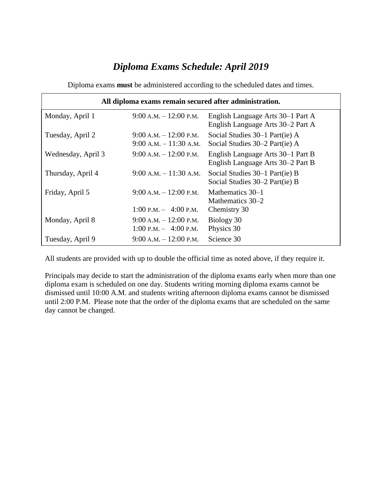## *Diploma Exams Schedule: April 2019*

| All diploma exams remain secured after administration. |                                                      |                                                                        |  |  |
|--------------------------------------------------------|------------------------------------------------------|------------------------------------------------------------------------|--|--|
| Monday, April 1                                        | $9:00$ A.M. $-12:00$ P.M.                            | English Language Arts 30–1 Part A<br>English Language Arts 30–2 Part A |  |  |
| Tuesday, April 2                                       | $9:00 A.M. - 12:00 P.M.$<br>$9:00 A.M. - 11:30 A.M.$ | Social Studies 30–1 Part(ie) A<br>Social Studies 30–2 Part(ie) A       |  |  |
| Wednesday, April 3                                     | $9:00 A.M. - 12:00 P.M.$                             | English Language Arts 30–1 Part B<br>English Language Arts 30-2 Part B |  |  |
| Thursday, April 4                                      | $9:00 A.M. - 11:30 A.M.$                             | Social Studies 30–1 Part(ie) B<br>Social Studies 30–2 Part(ie) B       |  |  |
| Friday, April 5                                        | $9:00 A.M. - 12:00 P.M.$                             | Mathematics 30–1<br>Mathematics 30–2                                   |  |  |
|                                                        | 1:00 P.M. $-$ 4:00 P.M.                              | Chemistry 30                                                           |  |  |
| Monday, April 8                                        | $9:00 A.M. - 12:00 P.M.$                             | Biology 30                                                             |  |  |
|                                                        | 1:00 P.M. $-$ 4:00 P.M.                              | Physics 30                                                             |  |  |
| Tuesday, April 9                                       | $9:00 A.M. - 12:00 P.M.$                             | Science 30                                                             |  |  |

Diploma exams **must** be administered according to the scheduled dates and times.

All students are provided with up to double the official time as noted above, if they require it.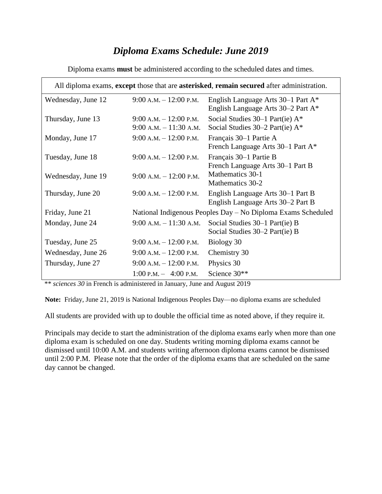### *Diploma Exams Schedule: June 2019*

| All diploma exams, except those that are asterisked, remain secured after administration. |                                                              |                                                                                      |  |
|-------------------------------------------------------------------------------------------|--------------------------------------------------------------|--------------------------------------------------------------------------------------|--|
| Wednesday, June 12                                                                        | $9:00$ A.M. $-12:00$ P.M.                                    | English Language Arts 30–1 Part A <sup>*</sup><br>English Language Arts 30–2 Part A* |  |
| Thursday, June 13                                                                         | $9:00$ A.M. $-12:00$ P.M.<br>$9:00$ A.M. $-11:30$ A.M.       | Social Studies $30-1$ Part(ie) $A^*$<br>Social Studies $30-2$ Part(ie) $A^*$         |  |
| Monday, June 17                                                                           | $9:00$ A.M. $-12:00$ P.M.                                    | Français 30–1 Partie A<br>French Language Arts 30–1 Part A*                          |  |
| Tuesday, June 18                                                                          | $9:00$ A.M. $-12:00$ P.M.                                    | Français 30–1 Partie B<br>French Language Arts 30–1 Part B                           |  |
| Wednesday, June 19                                                                        | $9:00$ A.M. $-12:00$ P.M.                                    | Mathematics 30-1<br>Mathematics 30-2                                                 |  |
| Thursday, June 20                                                                         | $9:00$ A.M. $-12:00$ P.M.                                    | English Language Arts 30–1 Part B<br>English Language Arts 30–2 Part B               |  |
| Friday, June 21                                                                           | National Indigenous Peoples Day - No Diploma Exams Scheduled |                                                                                      |  |
| Monday, June 24                                                                           | $9:00$ A.M. $-11:30$ A.M.                                    | Social Studies 30–1 Part(ie) B<br>Social Studies 30–2 Part(ie) B                     |  |
| Tuesday, June 25                                                                          | $9:00$ A.M. $-12:00$ P.M.                                    | Biology 30                                                                           |  |
| Wednesday, June 26                                                                        | $9:00$ A.M. $-12:00$ P.M.                                    | Chemistry 30                                                                         |  |
| Thursday, June 27                                                                         | $9:00$ A.M. $-12:00$ P.M.                                    | Physics 30                                                                           |  |
|                                                                                           | $1:00 \text{ P.M.} - 4:00 \text{ P.M.}$                      | Science 30**                                                                         |  |

Diploma exams **must** be administered according to the scheduled dates and times.

\*\* *sciences 30* in French is administered in January, June and August 2019

**Note:** Friday, June 21, 2019 is National Indigenous Peoples Day—no diploma exams are scheduled

All students are provided with up to double the official time as noted above, if they require it.